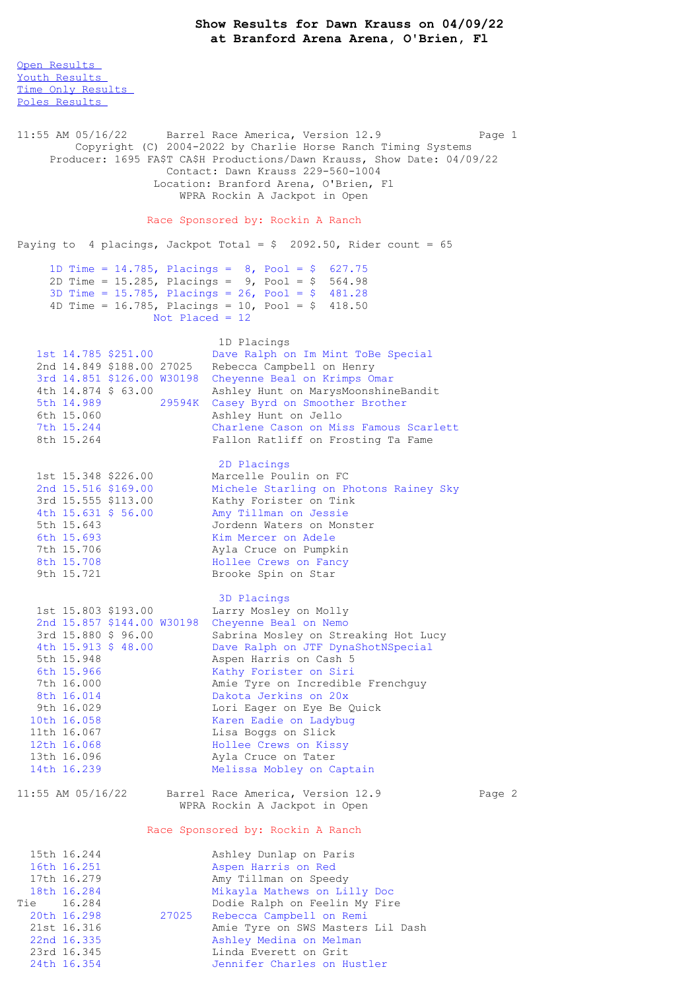**Show Results for Dawn Krauss on 04/09/22 at Branford Arena Arena, O'Brien, Fl**

Open [Results](file:///C:/Users/flori/Downloads/Show_Results_Dawn_Krauss_04_09_22.html#Open) Youth [Results](file:///C:/Users/flori/Downloads/Show_Results_Dawn_Krauss_04_09_22.html#Youth) Time Only [Results](file:///C:/Users/flori/Downloads/Show_Results_Dawn_Krauss_04_09_22.html#Time%20Only) Poles [Results](file:///C:/Users/flori/Downloads/Show_Results_Dawn_Krauss_04_09_22.html#Poles) 11:55 AM 05/16/22 Barrel Race America, Version 12.9 Page 1 Copyright (C) 2004-2022 by Charlie Horse Ranch Timing Systems Producer: 1695 FA\$T CA\$H Productions/Dawn Krauss, Show Date: 04/09/22 Contact: Dawn Krauss 229-560-1004 Location: Branford Arena, O'Brien, Fl WPRA Rockin A Jackpot in Open Race Sponsored by: Rockin A Ranch Paying to 4 placings, Jackpot Total =  $$ 2092.50$ , Rider count = 65 1D Time = 14.785, Placings = 8, Pool = \$ 627.75 2D Time = 15.285, Placings =  $9$ , Pool = \$ 564.98 3D Time = 15.785, Placings = 26, Pool = \$ 481.28 4D Time = 16.785, Placings = 10, Pool =  $$$  418.50 Not Placed  $= 12$ 1D Placings 1st 14.785 \$251.00 Dave Ralph on Im Mint ToBe Special 2nd 14.849 \$188.00 27025 Rebecca Campbell on Henry 3rd 14.851 \$126.00 W30198 Cheyenne Beal on Krimps Omar 4th 14.874 \$ 63.00 Ashley Hunt on MarysMoonshineBandit 5th 14.989 29594K Casey Byrd on Smoother Brother 6th 15.060 Ashley Hunt on Jello 7th 15.244 Charlene Cason on Miss Famous Scarlett Fallon Ratliff on Frosting Ta Fame 2D Placings 1st 15.348 \$226.00 Marcelle Poulin on FC 2nd 15.516 \$169.00 Michele Starling on Photons Rainey Sky 3rd 15.555 \$113.00 Kathy Forister on Tink 4th 15.631 \$ 56.00 Amy Tillman on Jessie 5th 15.643 Jordenn Waters on Monster 6th 15.693 Kim Mercer on Adele 7th 15.706 **Ayla Cruce on Pumpkin** 8th 15.708 **Hollee** Crews on Fancy 9th 15.721 Brooke Spin on Star 3D Placings 1st 15.803 \$193.00 Larry Mosley on Molly<br>2nd 15.857 \$144.00 W30198 Cheyenne Beal on Nemo 2nd 15.857 \$144.00 W30198 Cheyenne Beal on Nemo 3rd 15.880 \$ 96.00 Sabrina Mosley on Streaking Hot Lucy 4th 15.913 \$ 48.00 Dave Ralph on JTF DynaShotNSpecial 5th 15.948 Aspen Harris on Cash 5 6th 15.966 Kathy Forister on Siri 7th 16.000 Amie Tyre on Incredible Frenchguy 8th 16.014 Dakota Jerkins on 20x 9th 16.029 Lori Eager on Eye Be Quick 10th 16.058 Karen Eadie on Ladybug 11th 16.067 Lisa Boggs on Slick 12th 16.068 Hollee Crews on Kissy 13th 16.096 **Ayla Cruce on Tater** 14th 16.239 Melissa Mobley on Captain 11:55 AM 05/16/22 Barrel Race America, Version 12.9 Page 2 WPRA Rockin A Jackpot in Open Race Sponsored by: Rockin A Ranch 15th 16.244 **Ashley Dunlap on Paris**<br>16th 16.251 **Aspen Harris on Red** 16th 16.251 Aspen Harris on Red<br>17th 16.279 Amy Tillman on Speed Amy Tillman on Speedy 18th 16.284 Mikayla Mathews on Lilly Doc Tie 16.284 Dodie Ralph on Feelin My Fire 20th 16.298 27025 Rebecca Campbell on Remi<br>21st 16.316 21st 16.316 Amie Tyre on SWS Masters Amie Tyre on SWS Masters Lil Dash 22nd 16.335 Ashley Medina on Melman 23rd 16.345 Linda Everett on Grit

24th 16.354 Jennifer Charles on Hustler